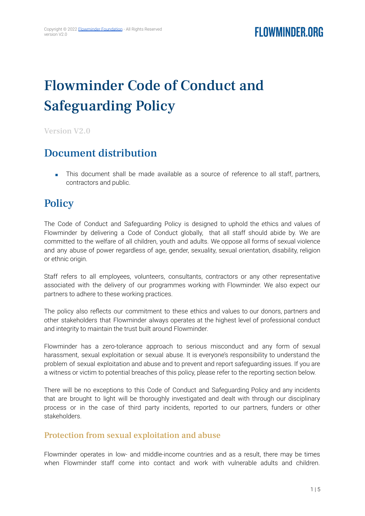# Flowminder Code of Conduct and Safeguarding Policy

Version V2.0

### Document distribution

■ This document shall be made available as a source of reference to all staff, partners, contractors and public.

### **Policy**

The Code of Conduct and Safeguarding Policy is designed to uphold the ethics and values of Flowminder by delivering a Code of Conduct globally, that all staff should abide by. We are committed to the welfare of all children, youth and adults. We oppose all forms of sexual violence and any abuse of power regardless of age, gender, sexuality, sexual orientation, disability, religion or ethnic origin.

Staff refers to all employees, volunteers, consultants, contractors or any other representative associated with the delivery of our programmes working with Flowminder. We also expect our partners to adhere to these working practices.

The policy also reflects our commitment to these ethics and values to our donors, partners and other stakeholders that Flowminder always operates at the highest level of professional conduct and integrity to maintain the trust built around Flowminder.

Flowminder has a zero-tolerance approach to serious misconduct and any form of sexual harassment, sexual exploitation or sexual abuse. It is everyone's responsibility to understand the problem of sexual exploitation and abuse and to prevent and report safeguarding issues. If you are a witness or victim to potential breaches of this policy, please refer to the reporting section below.

There will be no exceptions to this Code of Conduct and Safeguarding Policy and any incidents that are brought to light will be thoroughly investigated and dealt with through our disciplinary process or in the case of third party incidents, reported to our partners, funders or other stakeholders.

### Protection from sexual exploitation and abuse

Flowminder operates in low- and middle-income countries and as a result, there may be times when Flowminder staff come into contact and work with vulnerable adults and children.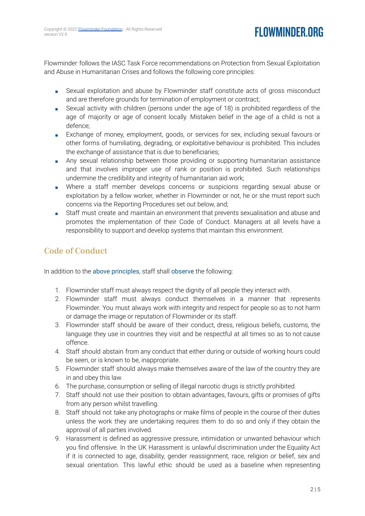Flowminder follows the IASC Task Force recommendations on Protection from Sexual Exploitation and Abuse in Humanitarian Crises and follows the following core principles:

- Sexual exploitation and abuse by Flowminder staff constitute acts of gross misconduct and are therefore grounds for termination of employment or contract;
- Sexual activity with children (persons under the age of 18) is prohibited regardless of the age of majority or age of consent locally. Mistaken belief in the age of a child is not a defence;
- Exchange of money, employment, goods, or services for sex, including sexual favours or other forms of humiliating, degrading, or exploitative behaviour is prohibited. This includes the exchange of assistance that is due to beneficiaries;
- Any sexual relationship between those providing or supporting humanitarian assistance and that involves improper use of rank or position is prohibited. Such relationships undermine the credibility and integrity of humanitarian aid work;
- Where a staff member develops concerns or suspicions regarding sexual abuse or exploitation by a fellow worker, whether in Flowminder or not, he or she must report such concerns via the Reporting Procedures set out below, and;
- Staff must create and maintain an environment that prevents sexualisation and abuse and promotes the implementation of their Code of Conduct. Managers at all levels have a responsibility to support and develop systems that maintain this environment.

### Code of Conduct

In addition to the above principles, staff shall observe the following:

- 1. Flowminder staff must always respect the dignity of all people they interact with.
- 2. Flowminder staff must always conduct themselves in a manner that represents Flowminder. You must always work with integrity and respect for people so as to not harm or damage the image or reputation of Flowminder or its staff.
- 3. Flowminder staff should be aware of their conduct, dress, religious beliefs, customs, the language they use in countries they visit and be respectful at all times so as to not cause offence.
- 4. Staff should abstain from any conduct that either during or outside of working hours could be seen, or is known to be, inappropriate.
- 5. Flowminder staff should always make themselves aware of the law of the country they are in and obey this law.
- 6. The purchase, consumption or selling of illegal narcotic drugs is strictly prohibited.
- 7. Staff should not use their position to obtain advantages, favours, gifts or promises of gifts from any person whilst travelling.
- 8. Staff should not take any photographs or make films of people in the course of their duties unless the work they are undertaking requires them to do so and only if they obtain the approval of all parties involved.
- 9. Harassment is defined as aggressive pressure, intimidation or unwanted behaviour which you find offensive. In the UK Harassment is unlawful discrimination under the Equality Act if it is connected to age, disability, gender reassignment, race, religion or belief, sex and sexual orientation. This lawful ethic should be used as a baseline when representing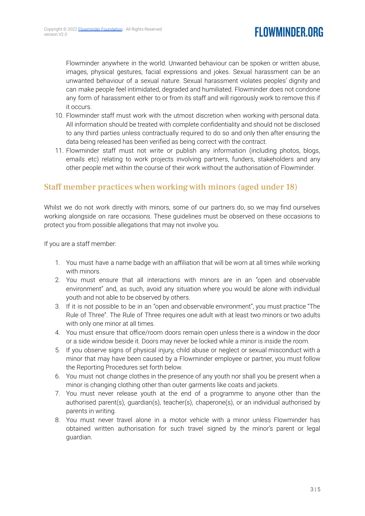# **FLOWMINDER.ORG**

Flowminder anywhere in the world. Unwanted behaviour can be spoken or written abuse, images, physical gestures, facial expressions and jokes. Sexual harassment can be an unwanted behaviour of a sexual nature. Sexual harassment violates peoples' dignity and can make people feel intimidated, degraded and humiliated. Flowminder does not condone any form of harassment either to or from its staff and will rigorously work to remove this if it occurs.

- 10. Flowminder staff must work with the utmost discretion when working with personal data. All information should be treated with complete confidentiality and should not be disclosed to any third parties unless contractually required to do so and only then after ensuring the data being released has been verified as being correct with the contract.
- 11. Flowminder staff must not write or publish any information (including photos, blogs, emails etc) relating to work projects involving partners, funders, stakeholders and any other people met within the course of their work without the authorisation of Flowminder.

### Staff member practices when working with minors (aged under 18)

Whilst we do not work directly with minors, some of our partners do, so we may find ourselves working alongside on rare occasions. These guidelines must be observed on these occasions to protect you from possible allegations that may not involve you.

If you are a staff member:

- 1. You must have a name badge with an affiliation that will be worn at all times while working with minors.
- 2. You must ensure that all interactions with minors are in an "open and observable environment" and, as such, avoid any situation where you would be alone with individual youth and not able to be observed by others.
- 3. If it is not possible to be in an "open and observable environment", you must practice "The Rule of Three". The Rule of Three requires one adult with at least two minors or two adults with only one minor at all times.
- 4. You must ensure that office/room doors remain open unless there is a window in the door or a side window beside it. Doors may never be locked while a minor is inside the room.
- 5. If you observe signs of physical injury, child abuse or neglect or sexual misconduct with a minor that may have been caused by a Flowminder employee or partner, you must follow the Reporting Procedures set forth below.
- 6. You must not change clothes in the presence of any youth nor shall you be present when a minor is changing clothing other than outer garments like coats and jackets.
- 7. You must never release youth at the end of a programme to anyone other than the authorised parent(s), guardian(s), teacher(s), chaperone(s), or an individual authorised by parents in writing.
- 8. You must never travel alone in a motor vehicle with a minor unless Flowminder has obtained written authorisation for such travel signed by the minor's parent or legal guardian.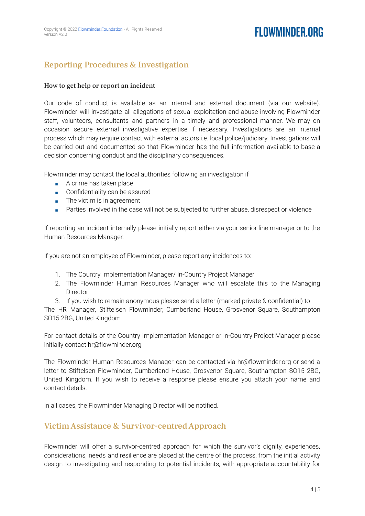# FI OWMINDER ORG

### Reporting Procedures & Investigation

#### How to get help or report an incident

Our code of conduct is available as an internal and external document (via our website). Flowminder will investigate all allegations of sexual exploitation and abuse involving Flowminder staff, volunteers, consultants and partners in a timely and professional manner. We may on occasion secure external investigative expertise if necessary. Investigations are an internal process which may require contact with external actors i.e. local police/judiciary. Investigations will be carried out and documented so that Flowminder has the full information available to base a decision concerning conduct and the disciplinary consequences.

Flowminder may contact the local authorities following an investigation if

- A crime has taken place
- Confidentiality can be assured
- The victim is in agreement
- Parties involved in the case will not be subjected to further abuse, disrespect or violence

If reporting an incident internally please initially report either via your senior line manager or to the Human Resources Manager.

If you are not an employee of Flowminder, please report any incidences to:

- 1. The Country Implementation Manager/ In-Country Project Manager
- 2. The Flowminder Human Resources Manager who will escalate this to the Managing Director
- 3. If you wish to remain anonymous please send a letter (marked private & confidential) to

The HR Manager, Stiftelsen Flowminder, Cumberland House, Grosvenor Square, Southampton SO15 2BG, United Kingdom

For contact details of the Country Implementation Manager or In-Country Project Manager please initially contact hr@flowminder.org

The Flowminder Human Resources Manager can be contacted via hr@flowminder.org or send a letter to Stiftelsen Flowminder, Cumberland House, Grosvenor Square, Southampton SO15 2BG, United Kingdom. If you wish to receive a response please ensure you attach your name and contact details.

In all cases, the Flowminder Managing Director will be notified.

### VictimAssistance & Survivor-centredApproach

Flowminder will offer a survivor-centred approach for which the survivor's dignity, experiences, considerations, needs and resilience are placed at the centre of the process, from the initial activity design to investigating and responding to potential incidents, with appropriate accountability for